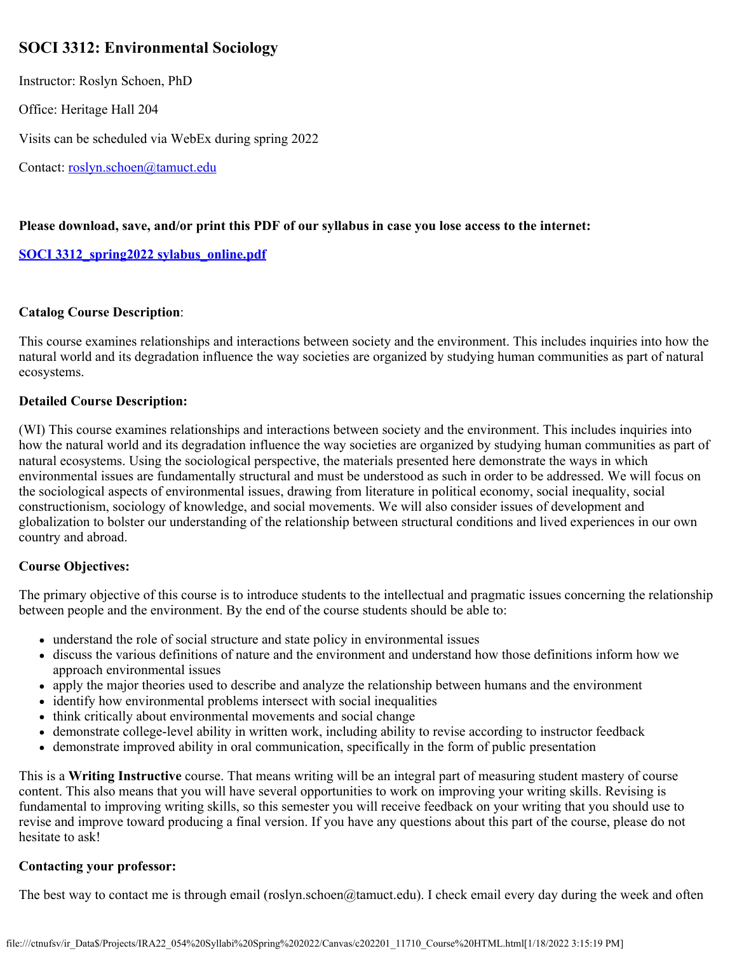# **SOCI 3312: Environmental Sociology**

Instructor: Roslyn Schoen, PhD

Office: Heritage Hall 204

Visits can be scheduled via WebEx during spring 2022

Contact: [roslyn.schoen@tamuct.edu](mailto:roslyn.schoen@tamuct.edu)

### **Please download, save, and/or print this PDF of our syllabus in case you lose access to the internet:**

### **[SOCI 3312\\_spring2022 sylabus\\_online.pdf](https://tamuct.instructure.com/courses/9781/files/1203757?verifier=X8R8t98BKq24EiVZF7htYYKYkVVLEMs7wxUoPTdi&wrap=1)**

### **Catalog Course Description**:

This course examines relationships and interactions between society and the environment. This includes inquiries into how the natural world and its degradation influence the way societies are organized by studying human communities as part of natural ecosystems.

### **Detailed Course Description:**

(WI) This course examines relationships and interactions between society and the environment. This includes inquiries into how the natural world and its degradation influence the way societies are organized by studying human communities as part of natural ecosystems. Using the sociological perspective, the materials presented here demonstrate the ways in which environmental issues are fundamentally structural and must be understood as such in order to be addressed. We will focus on the sociological aspects of environmental issues, drawing from literature in political economy, social inequality, social constructionism, sociology of knowledge, and social movements. We will also consider issues of development and globalization to bolster our understanding of the relationship between structural conditions and lived experiences in our own country and abroad.

### **Course Objectives:**

The primary objective of this course is to introduce students to the intellectual and pragmatic issues concerning the relationship between people and the environment. By the end of the course students should be able to:

- understand the role of social structure and state policy in environmental issues
- discuss the various definitions of nature and the environment and understand how those definitions inform how we approach environmental issues
- apply the major theories used to describe and analyze the relationship between humans and the environment
- identify how environmental problems intersect with social inequalities
- think critically about environmental movements and social change
- demonstrate college-level ability in written work, including ability to revise according to instructor feedback
- demonstrate improved ability in oral communication, specifically in the form of public presentation

This is a **Writing Instructive** course. That means writing will be an integral part of measuring student mastery of course content. This also means that you will have several opportunities to work on improving your writing skills. Revising is fundamental to improving writing skills, so this semester you will receive feedback on your writing that you should use to revise and improve toward producing a final version. If you have any questions about this part of the course, please do not hesitate to ask!

### **Contacting your professor:**

The best way to contact me is through email (roslyn.schoen@tamuct.edu). I check email every day during the week and often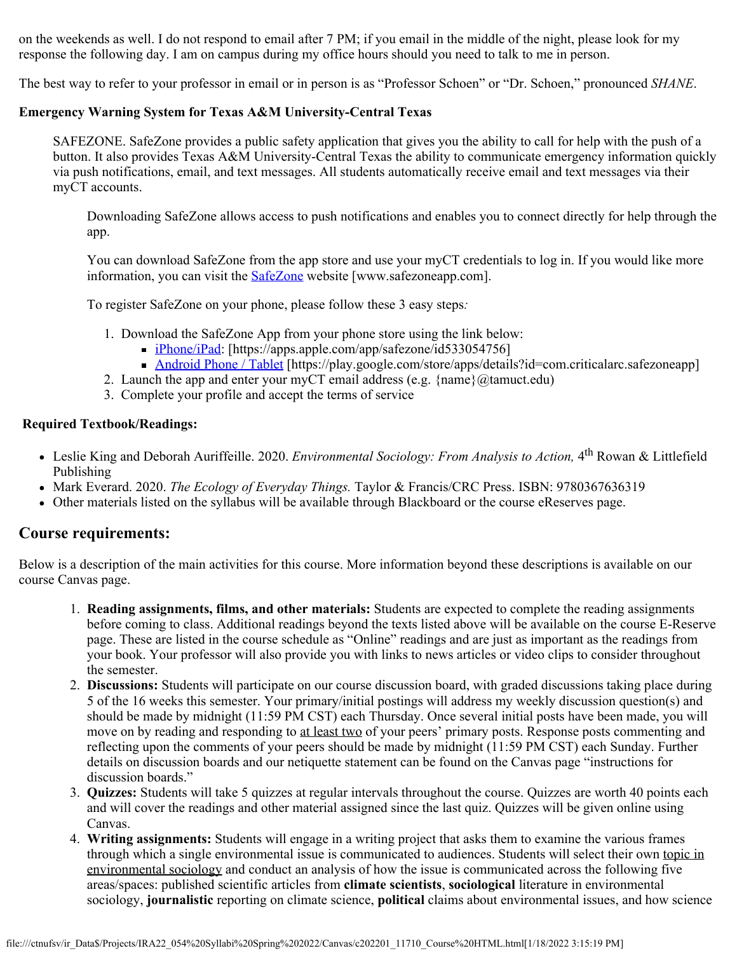on the weekends as well. I do not respond to email after 7 PM; if you email in the middle of the night, please look for my response the following day. I am on campus during my office hours should you need to talk to me in person.

The best way to refer to your professor in email or in person is as "Professor Schoen" or "Dr. Schoen," pronounced *SHANE*.

### **Emergency Warning System for Texas A&M University-Central Texas**

SAFEZONE. SafeZone provides a public safety application that gives you the ability to call for help with the push of a button. It also provides Texas A&M University-Central Texas the ability to communicate emergency information quickly via push notifications, email, and text messages. All students automatically receive email and text messages via their myCT accounts.

Downloading SafeZone allows access to push notifications and enables you to connect directly for help through the app.

You can download SafeZone from the app store and use your myCT credentials to log in. If you would like more information, you can visit the **SafeZone** website [www.safezoneapp.com].

To register SafeZone on your phone, please follow these 3 easy steps*:*

- 1. Download the SafeZone App from your phone store using the link below:
	- [iPhone/iPad:](https://apps.apple.com/app/safezone/id533054756) [https://apps.apple.com/app/safezone/id533054756]
	- [Android Phone / Tablet](https://play.google.com/store/apps/details?id=com.criticalarc.safezoneapp) [https://play.google.com/store/apps/details?id=com.criticalarc.safezoneapp]
- 2. Launch the app and enter your myCT email address (e.g.  $\{name\}(\mathscr{A})$  amuct.edu)
- 3. Complete your profile and accept the terms of service

#### **Required Textbook/Readings:**

- Leslie King and Deborah Auriffeille. 2020. *Environmental Sociology: From Analysis to Action,* 4th Rowan & Littlefield Publishing
- Mark Everard. 2020. *The Ecology of Everyday Things.* Taylor & Francis/CRC Press. ISBN: 9780367636319
- Other materials listed on the syllabus will be available through Blackboard or the course eReserves page.

### **Course requirements:**

Below is a description of the main activities for this course. More information beyond these descriptions is available on our course Canvas page.

- 1. **Reading assignments, films, and other materials:** Students are expected to complete the reading assignments before coming to class. Additional readings beyond the texts listed above will be available on the course E-Reserve page. These are listed in the course schedule as "Online" readings and are just as important as the readings from your book. Your professor will also provide you with links to news articles or video clips to consider throughout the semester.
- 2. **Discussions:** Students will participate on our course discussion board, with graded discussions taking place during 5 of the 16 weeks this semester. Your primary/initial postings will address my weekly discussion question(s) and should be made by midnight (11:59 PM CST) each Thursday. Once several initial posts have been made, you will move on by reading and responding to at least two of your peers' primary posts. Response posts commenting and reflecting upon the comments of your peers should be made by midnight (11:59 PM CST) each Sunday. Further details on discussion boards and our netiquette statement can be found on the Canvas page "instructions for discussion boards."
- 3. **Quizzes:** Students will take 5 quizzes at regular intervals throughout the course. Quizzes are worth 40 points each and will cover the readings and other material assigned since the last quiz. Quizzes will be given online using Canvas.
- 4. **Writing assignments:** Students will engage in a writing project that asks them to examine the various frames through which a single environmental issue is communicated to audiences. Students will select their own topic in environmental sociology and conduct an analysis of how the issue is communicated across the following five areas/spaces: published scientific articles from **climate scientists**, **sociological** literature in environmental sociology, **journalistic** reporting on climate science, **political** claims about environmental issues, and how science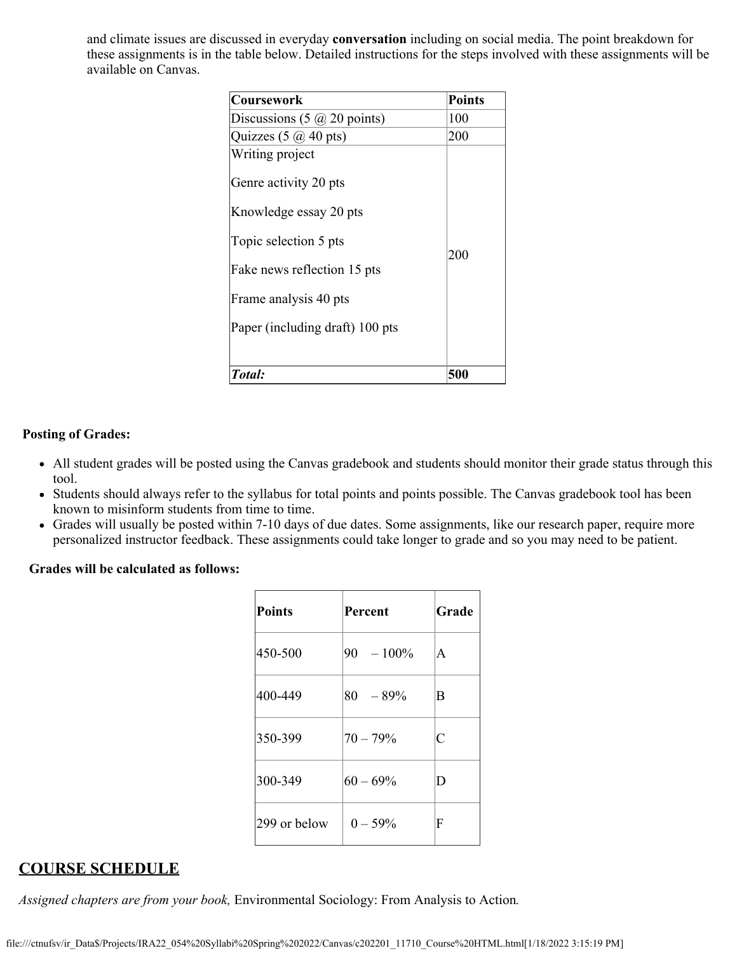and climate issues are discussed in everyday **conversation** including on social media. The point breakdown for these assignments is in the table below. Detailed instructions for the steps involved with these assignments will be available on Canvas.

| <b>Coursework</b>                                                        | <b>Points</b> |
|--------------------------------------------------------------------------|---------------|
| Discussions $(5 \omega 20 \text{ points})$                               | 100           |
| Quizzes $(5 \omega 40 \text{ pts})$                                      | 200           |
| Writing project                                                          |               |
| Genre activity 20 pts<br>Knowledge essay 20 pts<br>Topic selection 5 pts |               |
| Fake news reflection 15 pts                                              | 200           |
| Frame analysis 40 pts                                                    |               |
| Paper (including draft) 100 pts                                          |               |
| Total:                                                                   | 500           |

#### **Posting of Grades:**

- All student grades will be posted using the Canvas gradebook and students should monitor their grade status through this tool.
- Students should always refer to the syllabus for total points and points possible. The Canvas gradebook tool has been known to misinform students from time to time.
- Grades will usually be posted within 7-10 days of due dates. Some assignments, like our research paper, require more personalized instructor feedback. These assignments could take longer to grade and so you may need to be patient.

#### **Grades will be calculated as follows:**

| Points       | Percent      | Grade |
|--------------|--------------|-------|
| 450-500      | $90 - 100\%$ | A     |
| 400-449      | $80 - 89\%$  | В     |
| 350-399      | $70 - 79%$   | Ċ     |
| 300-349      | $60 - 69%$   | D     |
| 299 or below | $0 - 59%$    | F     |

# **COURSE SCHEDULE**

*Assigned chapters are from your book,* Environmental Sociology: From Analysis to Action*.*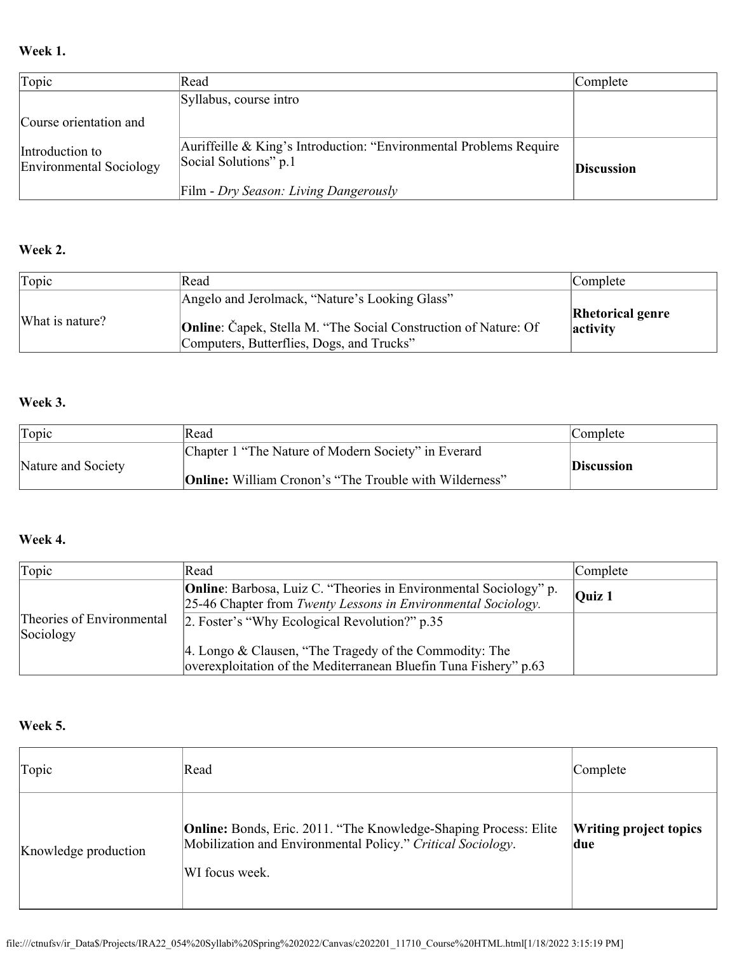## **Week 1.**

| Topic                                      | Read                                                                                        | Complete          |
|--------------------------------------------|---------------------------------------------------------------------------------------------|-------------------|
|                                            | Syllabus, course intro                                                                      |                   |
| Course orientation and                     |                                                                                             |                   |
| Introduction to<br>Environmental Sociology | Auriffeille & King's Introduction: "Environmental Problems Require<br>Social Solutions" p.1 | <b>Discussion</b> |
|                                            | Film - Dry Season: Living Dangerously                                                       |                   |

# **Week 2.**

| Topic           | Read                                                                                                                                                                  | Complete                            |
|-----------------|-----------------------------------------------------------------------------------------------------------------------------------------------------------------------|-------------------------------------|
| What is nature? | Angelo and Jerolmack, "Nature's Looking Glass"<br><b>Online:</b> Čapek, Stella M. "The Social Construction of Nature: Of<br>Computers, Butterflies, Dogs, and Trucks" | <b>Rhetorical genre</b><br>activity |

## **Week 3.**

| Topic              | Read                                                          | Complete   |
|--------------------|---------------------------------------------------------------|------------|
| Nature and Society | Chapter 1 "The Nature of Modern Society" in Everard           | Discussion |
|                    | <b>Online:</b> William Cronon's "The Trouble with Wilderness" |            |

# **Week 4.**

| Topic                                  | Read                                                                                                                                      | Complete                   |
|----------------------------------------|-------------------------------------------------------------------------------------------------------------------------------------------|----------------------------|
|                                        | <b>Online:</b> Barbosa, Luiz C. "Theories in Environmental Sociology" p.<br>25-46 Chapter from Twenty Lessons in Environmental Sociology. | $\overline{\text{Quiz}}$ 1 |
| Theories of Environmental<br>Sociology | 2. Foster's "Why Ecological Revolution?" p.35                                                                                             |                            |
|                                        | 4. Longo & Clausen, "The Tragedy of the Commodity: The<br>overexploitation of the Mediterranean Bluefin Tuna Fishery" p.63                |                            |

# **Week 5.**

| Topic                | Read                                                                                                                                                     | Complete                             |
|----------------------|----------------------------------------------------------------------------------------------------------------------------------------------------------|--------------------------------------|
| Knowledge production | <b>Online:</b> Bonds, Eric. 2011. "The Knowledge-Shaping Process: Elite<br>Mobilization and Environmental Policy." Critical Sociology.<br>WI focus week. | <b>Writing project topics</b><br>due |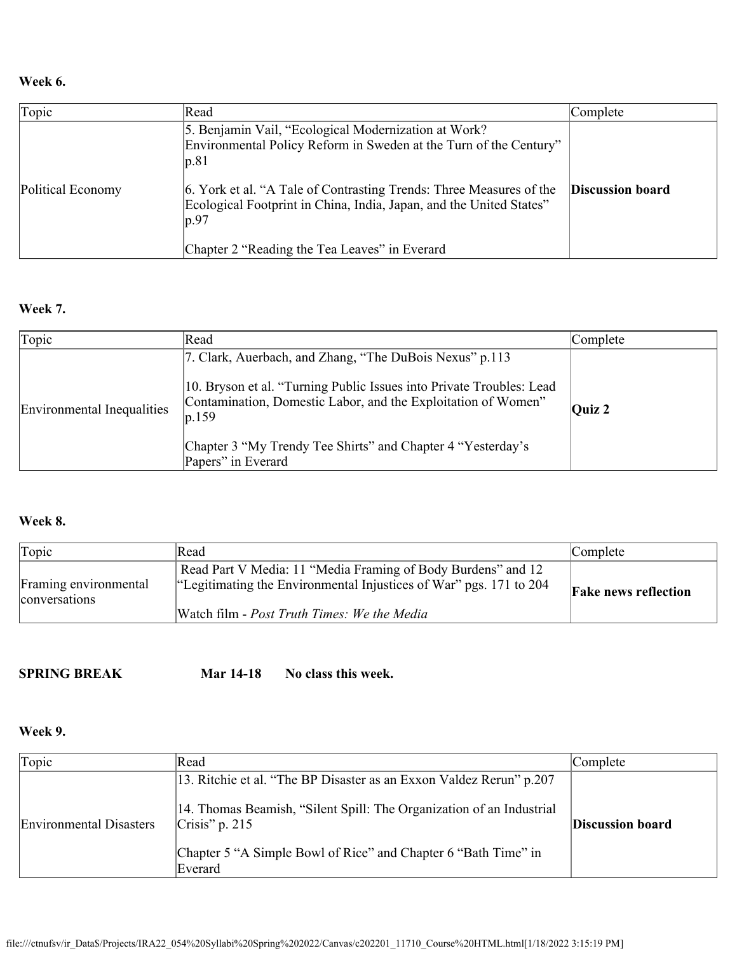### **Week 6.**

| Topic             | Read                                                                                                                                                | Complete                |
|-------------------|-----------------------------------------------------------------------------------------------------------------------------------------------------|-------------------------|
|                   | 5. Benjamin Vail, "Ecological Modernization at Work?<br>Environmental Policy Reform in Sweden at the Turn of the Century"<br> p.81                  |                         |
| Political Economy | 6. York et al. "A Tale of Contrasting Trends: Three Measures of the<br>Ecological Footprint in China, India, Japan, and the United States"<br> p.97 | <b>Discussion board</b> |
|                   | Chapter 2 "Reading the Tea Leaves" in Everard                                                                                                       |                         |

### **Week 7.**

| Topic                      | Read                                                                                                                                                                                                                                                                                            | Complete |
|----------------------------|-------------------------------------------------------------------------------------------------------------------------------------------------------------------------------------------------------------------------------------------------------------------------------------------------|----------|
| Environmental Inequalities | 7. Clark, Auerbach, and Zhang, "The DuBois Nexus" p.113<br>10. Bryson et al. "Turning Public Issues into Private Troubles: Lead<br>Contamination, Domestic Labor, and the Exploitation of Women"<br> p.159<br>Chapter 3 "My Trendy Tee Shirts" and Chapter 4 "Yesterday's<br>Papers" in Everard | Ouiz $2$ |

### **Week 8.**

| Topic                                  | Read                                                                                                                               | Complete                    |
|----------------------------------------|------------------------------------------------------------------------------------------------------------------------------------|-----------------------------|
| Framing environmental<br>conversations | Read Part V Media: 11 "Media Framing of Body Burdens" and 12<br>"Legitimating the Environmental Injustices of War" pgs. 171 to 204 | <b>Fake news reflection</b> |
|                                        | Watch film - Post Truth Times: We the Media                                                                                        |                             |

### **SPRING BREAK Mar 14-18** No class this week.

# **Week 9.**

| Topic                   | Read                                                                                                                                                                                                                                         | Complete                |
|-------------------------|----------------------------------------------------------------------------------------------------------------------------------------------------------------------------------------------------------------------------------------------|-------------------------|
| Environmental Disasters | 13. Ritchie et al. "The BP Disaster as an Exxon Valdez Rerun" p.207<br>14. Thomas Beamish, "Silent Spill: The Organization of an Industrial<br>$Crisis'$ p. 215<br>Chapter 5 "A Simple Bowl of Rice" and Chapter 6 "Bath Time" in<br>Everard | <b>Discussion board</b> |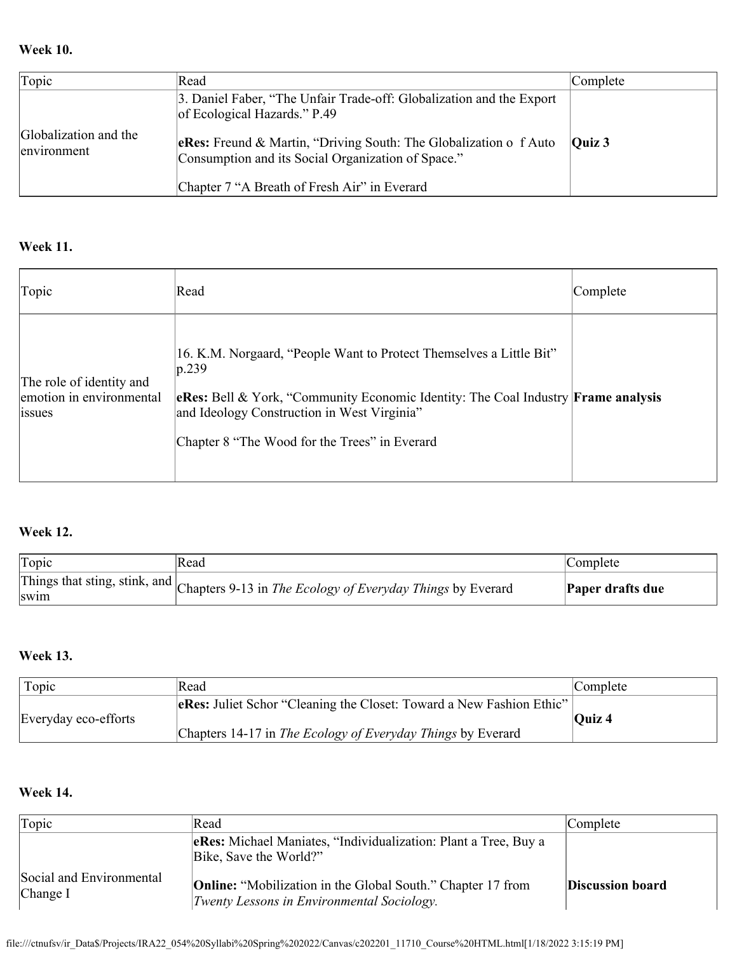### **Week 10.**

| Topic                                | Read                                                                                                                    | Complete                   |
|--------------------------------------|-------------------------------------------------------------------------------------------------------------------------|----------------------------|
|                                      | 3. Daniel Faber, "The Unfair Trade-off: Globalization and the Export<br>of Ecological Hazards." P.49                    |                            |
| Globalization and the<br>environment | eRes: Freund & Martin, "Driving South: The Globalization o f Auto<br>Consumption and its Social Organization of Space." | $\overline{\text{Quiz }3}$ |
|                                      | Chapter 7 "A Breath of Fresh Air" in Everard                                                                            |                            |

## **Week 11.**

| Topic                                                          | Read                                                                                                                                                                                                                                                                                      | Complete |
|----------------------------------------------------------------|-------------------------------------------------------------------------------------------------------------------------------------------------------------------------------------------------------------------------------------------------------------------------------------------|----------|
| The role of identity and<br>emotion in environmental<br>lssues | 16. K.M. Norgaard, "People Want to Protect Themselves a Little Bit"<br>$ p.239\rangle$<br><b>eRes:</b> Bell & York, "Community Economic Identity: The Coal Industry <b>Frame analysis</b><br>and Ideology Construction in West Virginia"<br>Chapter 8 "The Wood for the Trees" in Everard |          |

### **Week 12.**

| Topic       | Read                                                                                     | Complete         |
|-------------|------------------------------------------------------------------------------------------|------------------|
| <b>SW1m</b> | Things that sting, stink, and Chapters 9-13 in The Ecology of Everyday Things by Everard | Paper drafts due |

# **Week 13.**

| Topic                | Read                                                                                                                                       | Complete                   |
|----------------------|--------------------------------------------------------------------------------------------------------------------------------------------|----------------------------|
| Everyday eco-efforts | <b>eRes:</b> Juliet Schor "Cleaning the Closet: Toward a New Fashion Ethic"<br>Chapters 14-17 in The Ecology of Everyday Things by Everard | $\overline{\text{Quiz}}$ 4 |

# **Week 14.**

| Topic                                  | Read                                                                                                             | Complete         |
|----------------------------------------|------------------------------------------------------------------------------------------------------------------|------------------|
|                                        | eRes: Michael Maniates, "Individualization: Plant a Tree, Buy a<br>Bike, Save the World?"                        |                  |
| Social and Environmental<br>[Change I] | <b>Online:</b> "Mobilization in the Global South." Chapter 17 from<br>Twenty Lessons in Environmental Sociology. | Discussion board |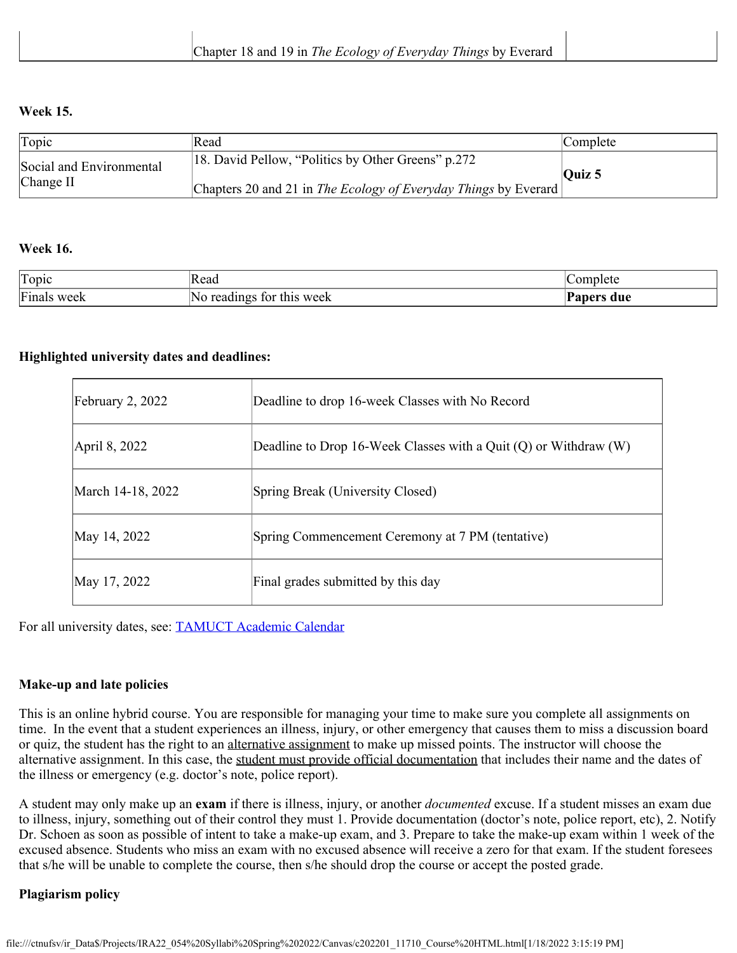### **Week 15.**

| Topic                                   | Read                                                                                                                   | <i>Complete</i>            |
|-----------------------------------------|------------------------------------------------------------------------------------------------------------------------|----------------------------|
| Social and Environmental<br>[Change II] | [18. David Pellow, "Politics by Other Greens" p.272<br>Chapters 20 and 21 in The Ecology of Everyday Things by Everard | $\overline{\text{Ouiz}}$ 5 |

### **Week 16.**

| Topic          | חו<br> Read                          | plete<br>∩mr                    |
|----------------|--------------------------------------|---------------------------------|
| Finals<br>week | NΩ<br>this week<br>, readings<br>tor | $T$ $\sim$ $\sim$ $\sim$<br>due |

### **Highlighted university dates and deadlines:**

| February $2, 2022$ | Deadline to drop 16-week Classes with No Record                      |
|--------------------|----------------------------------------------------------------------|
| April 8, 2022      | Deadline to Drop 16-Week Classes with a Quit $(Q)$ or Withdraw $(W)$ |
| March 14-18, 2022  | Spring Break (University Closed)                                     |
| May 14, 2022       | Spring Commencement Ceremony at 7 PM (tentative)                     |
| May 17, 2022       | Final grades submitted by this day                                   |

For all university dates, see: [TAMUCT Academic Calendar](https://www.tamuct.edu/registrar/academic-calendar.html)

### **Make-up and late policies**

This is an online hybrid course. You are responsible for managing your time to make sure you complete all assignments on time. In the event that a student experiences an illness, injury, or other emergency that causes them to miss a discussion board or quiz, the student has the right to an alternative assignment to make up missed points. The instructor will choose the alternative assignment. In this case, the student must provide official documentation that includes their name and the dates of the illness or emergency (e.g. doctor's note, police report).

A student may only make up an **exam** if there is illness, injury, or another *documented* excuse. If a student misses an exam due to illness, injury, something out of their control they must 1. Provide documentation (doctor's note, police report, etc), 2. Notify Dr. Schoen as soon as possible of intent to take a make-up exam, and 3. Prepare to take the make-up exam within 1 week of the excused absence. Students who miss an exam with no excused absence will receive a zero for that exam. If the student foresees that s/he will be unable to complete the course, then s/he should drop the course or accept the posted grade.

#### **Plagiarism policy**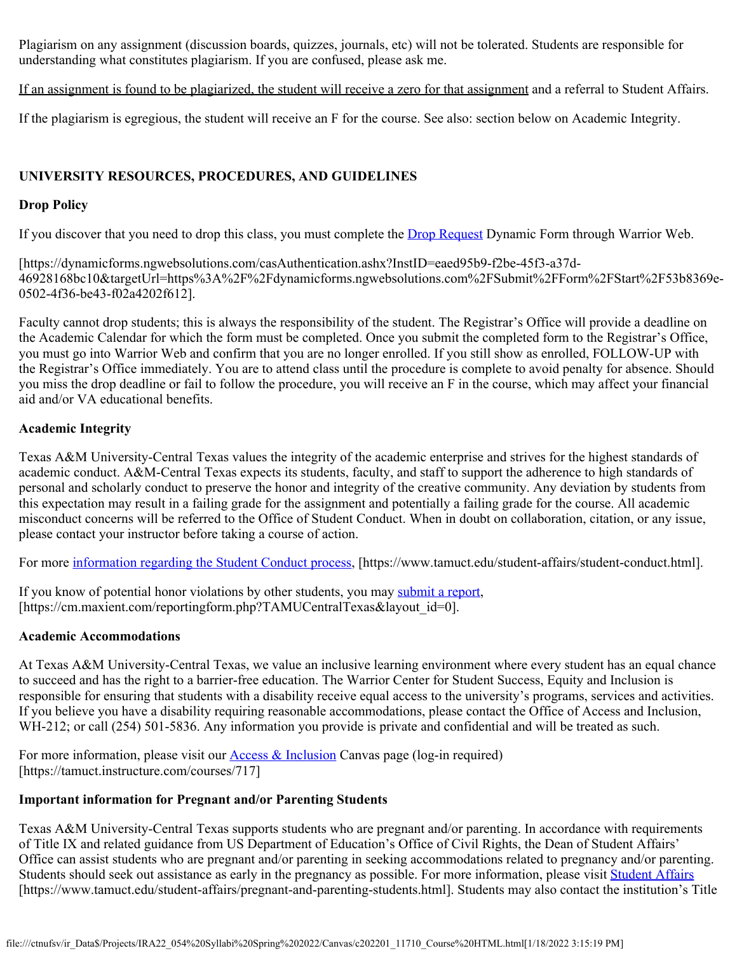Plagiarism on any assignment (discussion boards, quizzes, journals, etc) will not be tolerated. Students are responsible for understanding what constitutes plagiarism. If you are confused, please ask me.

If an assignment is found to be plagiarized, the student will receive a zero for that assignment and a referral to Student Affairs.

If the plagiarism is egregious, the student will receive an F for the course. See also: section below on Academic Integrity.

### **UNIVERSITY RESOURCES, PROCEDURES, AND GUIDELINES**

### **Drop Policy**

If you discover that you need to drop this class, you must complete the [Drop Request](https://dynamicforms.ngwebsolutions.com/casAuthentication.ashx?InstID=eaed95b9-f2be-45f3-a37d-46928168bc10&targetUrl=https%3A%2F%2Fdynamicforms.ngwebsolutions.com%2FSubmit%2FForm%2FStart%2F53b8369e-0502-4f36-be43-f02a4202f612) Dynamic Form through Warrior Web.

[https://dynamicforms.ngwebsolutions.com/casAuthentication.ashx?InstID=eaed95b9-f2be-45f3-a37d-46928168bc10&targetUrl=https%3A%2F%2Fdynamicforms.ngwebsolutions.com%2FSubmit%2FForm%2FStart%2F53b8369e-0502-4f36-be43-f02a4202f612].

Faculty cannot drop students; this is always the responsibility of the student. The Registrar's Office will provide a deadline on the Academic Calendar for which the form must be completed. Once you submit the completed form to the Registrar's Office, you must go into Warrior Web and confirm that you are no longer enrolled. If you still show as enrolled, FOLLOW-UP with the Registrar's Office immediately. You are to attend class until the procedure is complete to avoid penalty for absence. Should you miss the drop deadline or fail to follow the procedure, you will receive an F in the course, which may affect your financial aid and/or VA educational benefits.

#### **Academic Integrity**

Texas A&M University-Central Texas values the integrity of the academic enterprise and strives for the highest standards of academic conduct. A&M-Central Texas expects its students, faculty, and staff to support the adherence to high standards of personal and scholarly conduct to preserve the honor and integrity of the creative community. Any deviation by students from this expectation may result in a failing grade for the assignment and potentially a failing grade for the course. All academic misconduct concerns will be referred to the Office of Student Conduct. When in doubt on collaboration, citation, or any issue, please contact your instructor before taking a course of action.

For more [information regarding the Student Conduct process](https://nam04.safelinks.protection.outlook.com/?url=https%3A%2F%2Fwww.tamuct.edu%2Fstudent-affairs%2Fstudent-conduct.html&data=04%7C01%7Clisa.bunkowski%40tamuct.edu%7Ccfb6e486f24745f53e1a08d910055cb2%7C9eed4e3000f744849ff193ad8005acec%7C0%7C0%7C637558437485252160%7CUnknown%7CTWFpbGZsb3d8eyJWIjoiMC4wLjAwMDAiLCJQIjoiV2luMzIiLCJBTiI6Ik1haWwiLCJXVCI6Mn0%3D%7C1000&sdata=yjftDEVHvLX%2FhM%2FcFU0B99krV1RgEWR%2BJ%2BhvtoR6TYk%3D&reserved=0), [https://www.tamuct.edu/student-affairs/student-conduct.html].

If you know of potential honor violations by other students, you may [submit a report](https://nam04.safelinks.protection.outlook.com/?url=https%3A%2F%2Fcm.maxient.com%2Freportingform.php%3FTAMUCentralTexas%26layout_id%3D0&data=04%7C01%7Clisa.bunkowski%40tamuct.edu%7Ccfb6e486f24745f53e1a08d910055cb2%7C9eed4e3000f744849ff193ad8005acec%7C0%7C0%7C637558437485262157%7CUnknown%7CTWFpbGZsb3d8eyJWIjoiMC4wLjAwMDAiLCJQIjoiV2luMzIiLCJBTiI6Ik1haWwiLCJXVCI6Mn0%3D%7C1000&sdata=CXGkOa6uPDPX1IMZ87z3aZDq2n91xfHKu4MMS43Ejjk%3D&reserved=0), [https://cm.maxient.com/reportingform.php?TAMUCentralTexas&layout\_id=0].

#### **Academic Accommodations**

At Texas A&M University-Central Texas, we value an inclusive learning environment where every student has an equal chance to succeed and has the right to a barrier-free education. The Warrior Center for Student Success, Equity and Inclusion is responsible for ensuring that students with a disability receive equal access to the university's programs, services and activities. If you believe you have a disability requiring reasonable accommodations, please contact the Office of Access and Inclusion, WH-212; or call (254) 501-5836. Any information you provide is private and confidential and will be treated as such.

For more information, please visit our **Access & Inclusion** Canvas page (log-in required) [https://tamuct.instructure.com/courses/717]

#### **Important information for Pregnant and/or Parenting Students**

Texas A&M University-Central Texas supports students who are pregnant and/or parenting. In accordance with requirements of Title IX and related guidance from US Department of Education's Office of Civil Rights, the Dean of Student Affairs' Office can assist students who are pregnant and/or parenting in seeking accommodations related to pregnancy and/or parenting. Students should seek out assistance as early in the pregnancy as possible. For more information, please visit [Student Affairs](https://www.tamuct.edu/student-affairs/pregnant-and-parenting-students.html) [https://www.tamuct.edu/student-affairs/pregnant-and-parenting-students.html]. Students may also contact the institution's Title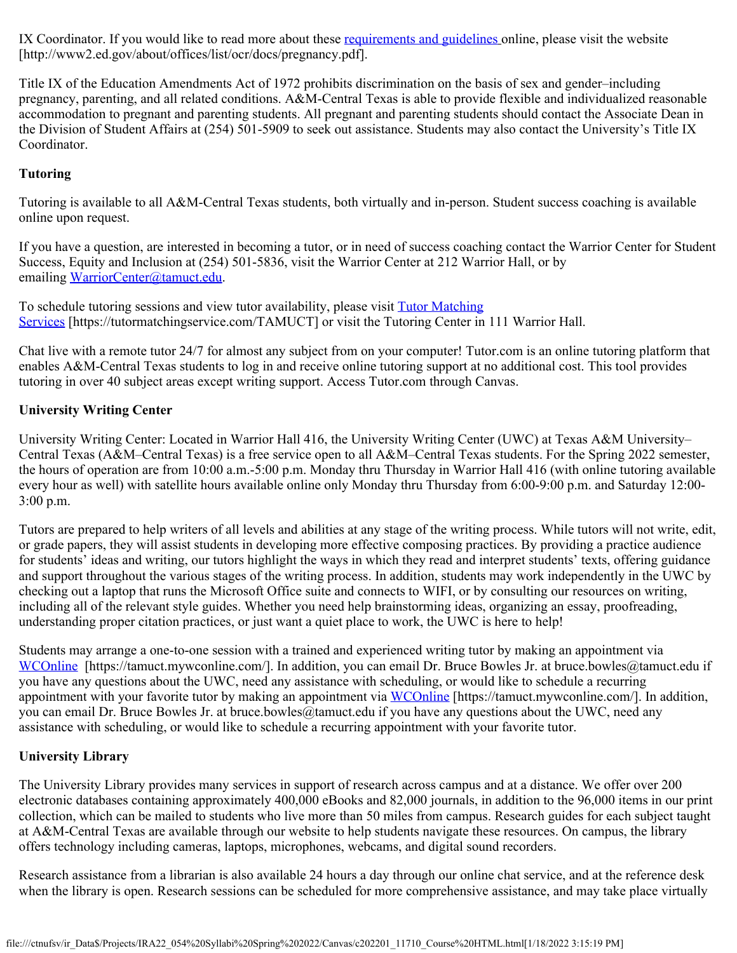IX Coordinator. If you would like to read more about these [requirements and guidelines](http://www2.ed.gov/about/offices/list/ocr/docs/pregnancy.pdf) online, please visit the website [http://www2.ed.gov/about/offices/list/ocr/docs/pregnancy.pdf].

Title IX of the Education Amendments Act of 1972 prohibits discrimination on the basis of sex and gender–including pregnancy, parenting, and all related conditions. A&M-Central Texas is able to provide flexible and individualized reasonable accommodation to pregnant and parenting students. All pregnant and parenting students should contact the Associate Dean in the Division of Student Affairs at (254) 501-5909 to seek out assistance. Students may also contact the University's Title IX Coordinator.

### **Tutoring**

Tutoring is available to all A&M-Central Texas students, both virtually and in-person. Student success coaching is available online upon request.

If you have a question, are interested in becoming a tutor, or in need of success coaching contact the Warrior Center for Student Success, Equity and Inclusion at (254) 501-5836, visit the Warrior Center at 212 Warrior Hall, or by emailing [WarriorCenter@tamuct.edu](mailto:WarriorCenter@tamuct.edu).

To schedule tutoring sessions and view tutor availability, please visit **[Tutor Matching](https://tutormatchingservice.com/TAMUCT)** [Services](https://tutormatchingservice.com/TAMUCT) [https://tutormatchingservice.com/TAMUCT] or visit the Tutoring Center in 111 Warrior Hall.

Chat live with a remote tutor 24/7 for almost any subject from on your computer! Tutor.com is an online tutoring platform that enables A&M-Central Texas students to log in and receive online tutoring support at no additional cost. This tool provides tutoring in over 40 subject areas except writing support. Access Tutor.com through Canvas.

### **University Writing Center**

University Writing Center: Located in Warrior Hall 416, the University Writing Center (UWC) at Texas A&M University– Central Texas (A&M–Central Texas) is a free service open to all A&M–Central Texas students. For the Spring 2022 semester, the hours of operation are from 10:00 a.m.-5:00 p.m. Monday thru Thursday in Warrior Hall 416 (with online tutoring available every hour as well) with satellite hours available online only Monday thru Thursday from 6:00-9:00 p.m. and Saturday 12:00- 3:00 p.m.

Tutors are prepared to help writers of all levels and abilities at any stage of the writing process. While tutors will not write, edit, or grade papers, they will assist students in developing more effective composing practices. By providing a practice audience for students' ideas and writing, our tutors highlight the ways in which they read and interpret students' texts, offering guidance and support throughout the various stages of the writing process. In addition, students may work independently in the UWC by checking out a laptop that runs the Microsoft Office suite and connects to WIFI, or by consulting our resources on writing, including all of the relevant style guides. Whether you need help brainstorming ideas, organizing an essay, proofreading, understanding proper citation practices, or just want a quiet place to work, the UWC is here to help!

Students may arrange a one-to-one session with a trained and experienced writing tutor by making an appointment via [WCOnline](https://tamuct.mywconline.com/) [https://tamuct.mywconline.com/]. In addition, you can email Dr. Bruce Bowles Jr. at bruce.bowles@tamuct.edu if you have any questions about the UWC, need any assistance with scheduling, or would like to schedule a recurring appointment with your favorite tutor by making an appointment via [WCOnline](https://tamuct.mywconline.com/) [https://tamuct.mywconline.com/]. In addition, you can email Dr. Bruce Bowles Jr. at bruce.bowles@tamuct.edu if you have any questions about the UWC, need any assistance with scheduling, or would like to schedule a recurring appointment with your favorite tutor.

#### **University Library**

The University Library provides many services in support of research across campus and at a distance. We offer over 200 electronic databases containing approximately 400,000 eBooks and 82,000 journals, in addition to the 96,000 items in our print collection, which can be mailed to students who live more than 50 miles from campus. Research guides for each subject taught at A&M-Central Texas are available through our website to help students navigate these resources. On campus, the library offers technology including cameras, laptops, microphones, webcams, and digital sound recorders.

Research assistance from a librarian is also available 24 hours a day through our online chat service, and at the reference desk when the library is open. Research sessions can be scheduled for more comprehensive assistance, and may take place virtually